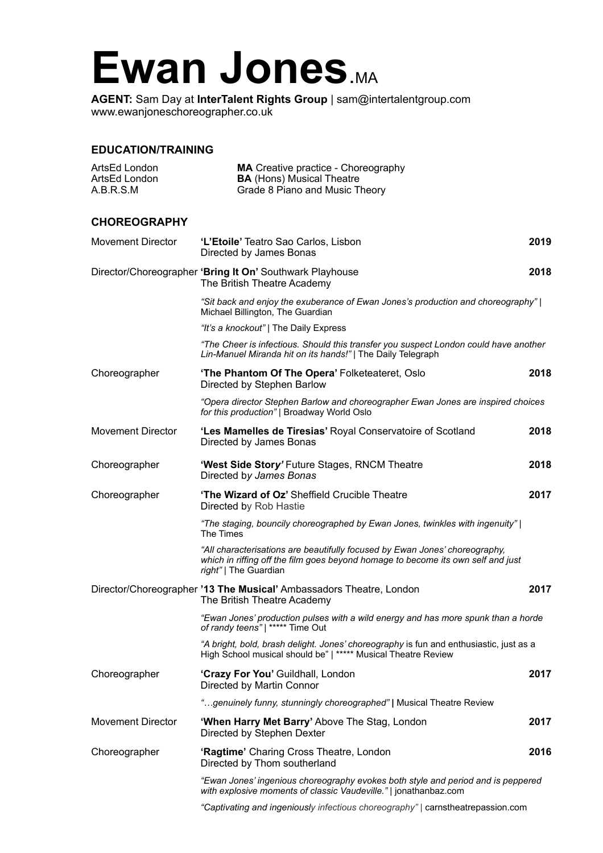## Ewan Jones.MA

**AGENT:** Sam Day at **InterTalent Rights Group** | sam@intertalentgroup.com www.ewanjoneschoreographer.co.uk

## **EDUCATION/TRAINING**

| ArtsEd London<br>ArtsEd London<br>A.B.R.S.M | <b>MA</b> Creative practice - Choreography<br><b>BA</b> (Hons) Musical Theatre<br>Grade 8 Piano and Music Theory                                                                         |      |
|---------------------------------------------|------------------------------------------------------------------------------------------------------------------------------------------------------------------------------------------|------|
| <b>CHOREOGRAPHY</b>                         |                                                                                                                                                                                          |      |
| <b>Movement Director</b>                    | 'L'Etoile' Teatro Sao Carlos, Lisbon<br>Directed by James Bonas                                                                                                                          | 2019 |
|                                             | Director/Choreographer 'Bring It On' Southwark Playhouse<br>The British Theatre Academy                                                                                                  | 2018 |
|                                             | "Sit back and enjoy the exuberance of Ewan Jones's production and choreography"  <br>Michael Billington, The Guardian                                                                    |      |
|                                             | "It's a knockout"   The Daily Express                                                                                                                                                    |      |
|                                             | "The Cheer is infectious. Should this transfer you suspect London could have another<br>Lin-Manuel Miranda hit on its hands!"   The Daily Telegraph                                      |      |
| Choreographer                               | 'The Phantom Of The Opera' Folketeateret, Oslo<br>Directed by Stephen Barlow                                                                                                             | 2018 |
|                                             | "Opera director Stephen Barlow and choreographer Ewan Jones are inspired choices<br>for this production"   Broadway World Oslo                                                           |      |
| <b>Movement Director</b>                    | 'Les Mamelles de Tiresias' Royal Conservatoire of Scotland<br>Directed by James Bonas                                                                                                    | 2018 |
| Choreographer                               | 'West Side Story' Future Stages, RNCM Theatre<br>Directed by James Bonas                                                                                                                 | 2018 |
| Choreographer                               | 'The Wizard of Oz' Sheffield Crucible Theatre<br>Directed by Rob Hastie                                                                                                                  | 2017 |
|                                             | "The staging, bouncily choreographed by Ewan Jones, twinkles with ingenuity"  <br>The Times                                                                                              |      |
|                                             | "All characterisations are beautifully focused by Ewan Jones' choreography,<br>which in riffing off the film goes beyond homage to become its own self and just<br>right"   The Guardian |      |
|                                             | Director/Choreographer '13 The Musical' Ambassadors Theatre, London<br>The British Theatre Academy                                                                                       | 2017 |
|                                             | "Ewan Jones' production pulses with a wild energy and has more spunk than a horde<br>of randy teens"   ***** Time Out                                                                    |      |
|                                             | "A bright, bold, brash delight. Jones' choreography is fun and enthusiastic, just as a<br>High School musical should be"   ***** Musical Theatre Review                                  |      |
| Choreographer                               | 'Crazy For You' Guildhall, London<br>Directed by Martin Connor                                                                                                                           | 2017 |
|                                             | "genuinely funny, stunningly choreographed"   Musical Theatre Review                                                                                                                     |      |
| <b>Movement Director</b>                    | 'When Harry Met Barry' Above The Stag, London<br>Directed by Stephen Dexter                                                                                                              | 2017 |
| Choreographer                               | 'Ragtime' Charing Cross Theatre, London<br>Directed by Thom southerland                                                                                                                  | 2016 |
|                                             | "Ewan Jones' ingenious choreography evokes both style and period and is peppered<br>with explosive moments of classic Vaudeville."   jonathanbaz.com                                     |      |
|                                             |                                                                                                                                                                                          |      |

 *"Captivating and ingeniously infectious choreography" |* carnstheatrepassion.com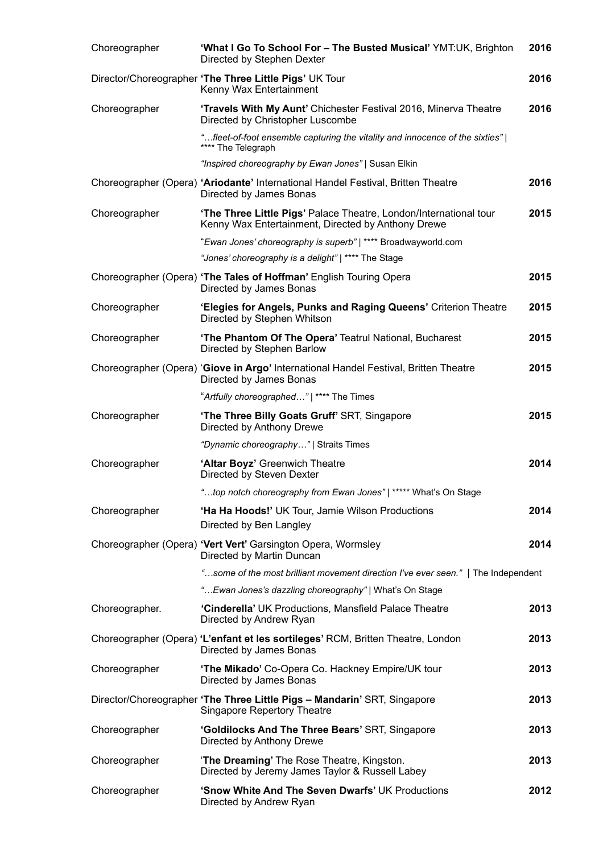| Choreographer  | 'What I Go To School For - The Busted Musical' YMT:UK, Brighton<br>Directed by Stephen Dexter                           | 2016 |
|----------------|-------------------------------------------------------------------------------------------------------------------------|------|
|                | Director/Choreographer 'The Three Little Pigs' UK Tour<br>Kenny Wax Entertainment                                       | 2016 |
| Choreographer  | 'Travels With My Aunt' Chichester Festival 2016, Minerva Theatre<br>Directed by Christopher Luscombe                    | 2016 |
|                | "fleet-of-foot ensemble capturing the vitality and innocence of the sixties"  <br>**** The Telegraph                    |      |
|                | "Inspired choreography by Ewan Jones"   Susan Elkin                                                                     |      |
|                | Choreographer (Opera) 'Ariodante' International Handel Festival, Britten Theatre<br>Directed by James Bonas             | 2016 |
| Choreographer  | 'The Three Little Pigs' Palace Theatre, London/International tour<br>Kenny Wax Entertainment, Directed by Anthony Drewe | 2015 |
|                | "Ewan Jones' choreography is superb"   **** Broadwayworld.com                                                           |      |
|                | "Jones' choreography is a delight"   **** The Stage                                                                     |      |
|                | Choreographer (Opera) 'The Tales of Hoffman' English Touring Opera<br>Directed by James Bonas                           | 2015 |
| Choreographer  | 'Elegies for Angels, Punks and Raging Queens' Criterion Theatre<br>Directed by Stephen Whitson                          | 2015 |
| Choreographer  | 'The Phantom Of The Opera' Teatrul National, Bucharest<br>Directed by Stephen Barlow                                    | 2015 |
|                | Choreographer (Opera) 'Giove in Argo' International Handel Festival, Britten Theatre<br>Directed by James Bonas         | 2015 |
|                | "Artfully choreographed"   **** The Times                                                                               |      |
| Choreographer  | 'The Three Billy Goats Gruff' SRT, Singapore<br>Directed by Anthony Drewe                                               | 2015 |
|                | "Dynamic choreography"   Straits Times                                                                                  |      |
| Choreographer  | 'Altar Boyz' Greenwich Theatre<br>Directed by Steven Dexter                                                             | 2014 |
|                | "top notch choreography from Ewan Jones"   ***** What's On Stage                                                        |      |
| Choreographer  | 'Ha Ha Hoods!' UK Tour, Jamie Wilson Productions<br>Directed by Ben Langley                                             | 2014 |
|                | Choreographer (Opera) 'Vert Vert' Garsington Opera, Wormsley<br>Directed by Martin Duncan                               | 2014 |
|                | "some of the most brilliant movement direction I've ever seen."   The Independent                                       |      |
|                | " Ewan Jones's dazzling choreography"   What's On Stage                                                                 |      |
| Choreographer. | 'Cinderella' UK Productions, Mansfield Palace Theatre<br>Directed by Andrew Ryan                                        | 2013 |
|                | Choreographer (Opera) 'L'enfant et les sortileges' RCM, Britten Theatre, London<br>Directed by James Bonas              | 2013 |
| Choreographer  | 'The Mikado' Co-Opera Co. Hackney Empire/UK tour<br>Directed by James Bonas                                             | 2013 |
|                | Director/Choreographer 'The Three Little Pigs - Mandarin' SRT, Singapore<br><b>Singapore Repertory Theatre</b>          | 2013 |
| Choreographer  | 'Goldilocks And The Three Bears' SRT, Singapore<br>Directed by Anthony Drewe                                            | 2013 |
| Choreographer  | 'The Dreaming' The Rose Theatre, Kingston.<br>Directed by Jeremy James Taylor & Russell Labey                           | 2013 |
| Choreographer  | 'Snow White And The Seven Dwarfs' UK Productions<br>Directed by Andrew Ryan                                             | 2012 |